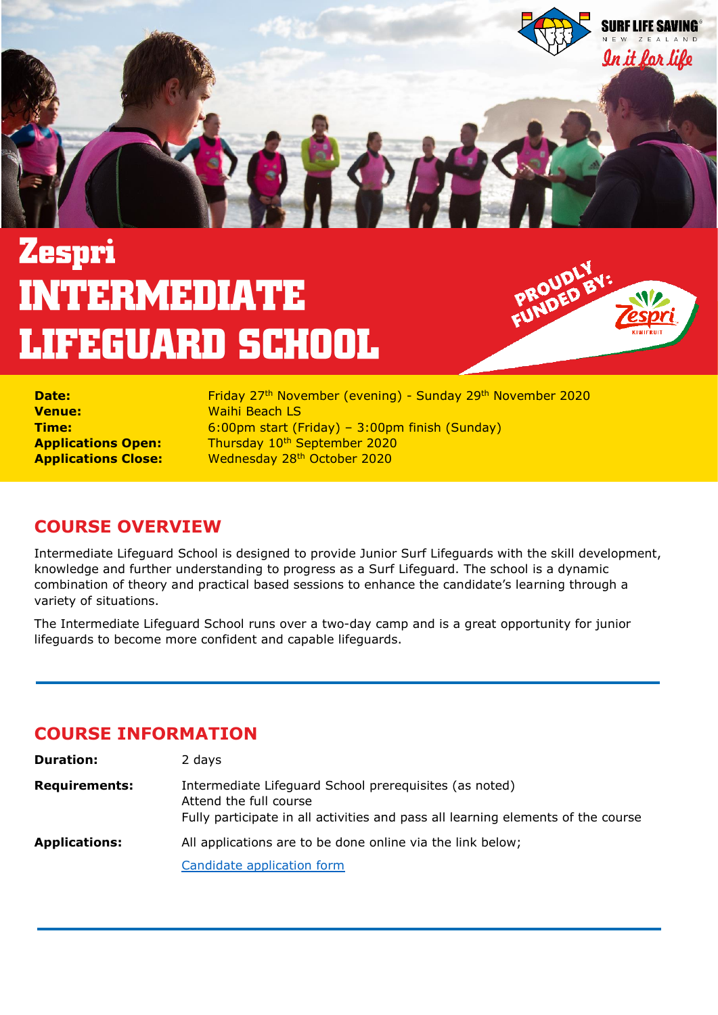

## **Zespri INTERMEDIATE LIFEGUARD SCHOOL**



| <b>Date:</b>               |  |
|----------------------------|--|
| <b>Venue:</b>              |  |
| Time:                      |  |
| <b>Applications Open:</b>  |  |
| <b>Applications Close:</b> |  |

**Date:** Friday 27th November (evening) - Sunday 29th November 2020 **Waihi Beach LS Time:** 6:00pm start (Friday) – 3:00pm finish (Sunday) **Thursday 10<sup>th</sup> September 2020 Wednesday 28<sup>th</sup> October 2020** 

## **COURSE OVERVIEW**

Intermediate Lifeguard School is designed to provide Junior Surf Lifeguards with the skill development, knowledge and further understanding to progress as a Surf Lifeguard. The school is a dynamic combination of theory and practical based sessions to enhance the candidate's learning through a variety of situations.

The Intermediate Lifeguard School runs over a two-day camp and is a great opportunity for junior lifeguards to become more confident and capable lifeguards.

### **COURSE INFORMATION**

| <b>Duration:</b>     | 2 days                                                                                                                                                               |
|----------------------|----------------------------------------------------------------------------------------------------------------------------------------------------------------------|
| <b>Requirements:</b> | Intermediate Lifeguard School prerequisites (as noted)<br>Attend the full course<br>Fully participate in all activities and pass all learning elements of the course |
| <b>Applications:</b> | All applications are to be done online via the link below;                                                                                                           |
|                      | Candidate application form                                                                                                                                           |